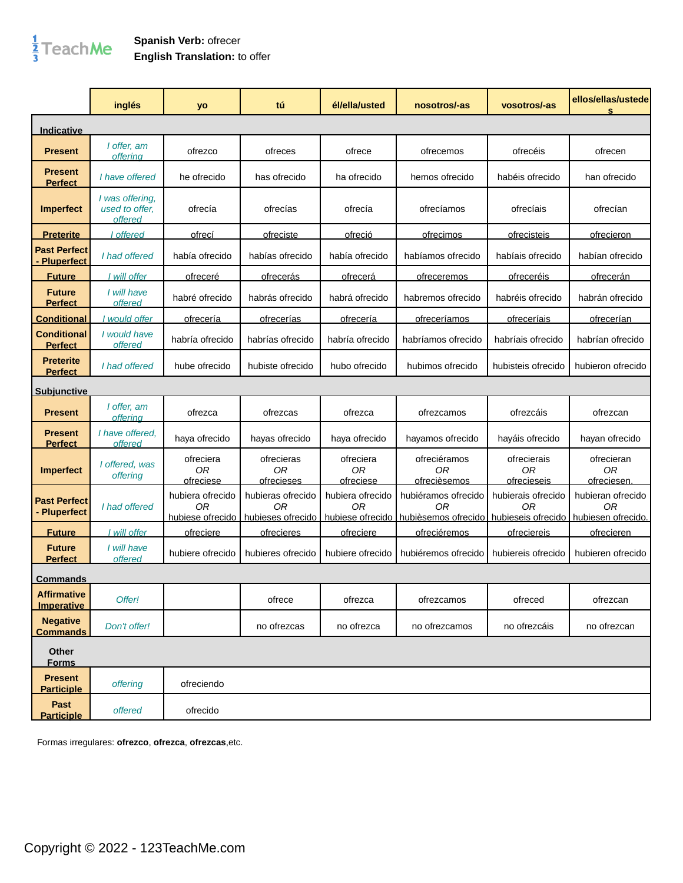## $\frac{1}{3}$ TeachMe

## **Spanish Verb:** ofrecer **English Translation:** to offer

|                                          | inglés                                       | yo                                         | tú                                           | él/ella/usted                       | nosotros/-as                                                      | vosotros/-as                                   | ellos/ellas/ustede<br>s                       |
|------------------------------------------|----------------------------------------------|--------------------------------------------|----------------------------------------------|-------------------------------------|-------------------------------------------------------------------|------------------------------------------------|-----------------------------------------------|
| <b>Indicative</b>                        |                                              |                                            |                                              |                                     |                                                                   |                                                |                                               |
| <b>Present</b>                           | I offer, am<br>offerina                      | ofrezco                                    | ofreces                                      | ofrece                              | ofrecemos                                                         | ofrecéis                                       | ofrecen                                       |
| <b>Present</b><br><b>Perfect</b>         | I have offered                               | he ofrecido                                | has ofrecido                                 | ha ofrecido                         | hemos ofrecido                                                    | habéis ofrecido                                | han ofrecido                                  |
| <b>Imperfect</b>                         | I was offering,<br>used to offer.<br>offered | ofrecía                                    | ofrecías                                     | ofrecía                             | ofrecíamos                                                        | ofrecíais                                      | ofrecían                                      |
| <u>Preterite</u>                         | I offered                                    | <u>ofrecí</u>                              | ofreciste                                    | ofreció                             | ofrecimos                                                         | <b>ofrecisteis</b>                             | <u>ofrecieron</u>                             |
| <b>Past Perfect</b><br><b>Pluperfect</b> | I had offered                                | había ofrecido                             | habías ofrecido                              | había ofrecido                      | habíamos ofrecido                                                 | habíais ofrecido                               | habían ofrecido                               |
| <b>Future</b>                            | I will offer                                 | ofreceré                                   | ofrecerás                                    | <u>ofrecerá</u>                     | <u>ofreceremos</u>                                                | ofreceréis                                     | <u>ofrecerán</u>                              |
| <b>Future</b><br><b>Perfect</b>          | I will have<br>offered                       | habré ofrecido                             | habrás ofrecido                              | habrá ofrecido                      | habremos ofrecido                                                 | habréis ofrecido                               | habrán ofrecido                               |
| <u>Conditional</u>                       | would offer                                  | ofrecería                                  | <u>ofrecerías</u>                            | ofrecería                           | <u>ofreceríamos</u>                                               | <u>ofreceríais</u>                             | <u>ofrecerían</u>                             |
| <b>Conditional</b><br><b>Perfect</b>     | I would have<br>offered                      | habría ofrecido                            | habrías ofrecido                             | habría ofrecido                     | habríamos ofrecido                                                | habríais ofrecido                              | habrían ofrecido                              |
| <b>Preterite</b><br><b>Perfect</b>       | I had offered                                | hube ofrecido                              | hubiste ofrecido                             | hubo ofrecido                       | hubimos ofrecido                                                  | hubisteis ofrecido                             | hubieron ofrecido                             |
| <u>Subiunctive</u>                       |                                              |                                            |                                              |                                     |                                                                   |                                                |                                               |
| <b>Present</b>                           | I offer, am<br><b>offering</b>               | ofrezca                                    | ofrezcas                                     | ofrezca                             | ofrezcamos                                                        | ofrezcáis                                      | ofrezcan                                      |
| <b>Present</b><br><b>Perfect</b>         | I have offered.<br>offered                   | haya ofrecido                              | hayas ofrecido                               | haya ofrecido                       | hayamos ofrecido                                                  | hayáis ofrecido                                | hayan ofrecido                                |
| <b>Imperfect</b>                         | I offered, was<br>offering                   | ofreciera<br><b>OR</b><br>ofreciese        | ofrecieras<br>0 <sub>R</sub><br>ofrecieses   | ofreciera<br><b>OR</b><br>ofreciese | ofreciéramos<br>0 <sub>R</sub><br>ofrecièsemos                    | ofrecierais<br><b>OR</b><br>ofrecieseis        | ofrecieran<br>0 <sub>R</sub><br>ofreciesen.   |
| <b>Past Perfect</b><br><b>Pluperfect</b> | I had offered                                | hubiera ofrecido<br>0R<br>hubiese ofrecido | hubieras ofrecido<br>ΩR<br>hubieses ofrecido | hubiera ofrecido<br>ΟR              | hubiéramos ofrecido<br>ΟR<br>hubiese ofrecido hubièsemos ofrecido | hubierais ofrecido<br>ΩR<br>hubieseis ofrecido | hubieran ofrecido<br>0R<br>hubiesen ofrecido. |
| <b>Future</b>                            | I will offer                                 | <u>ofreciere</u>                           | <u>ofrecieres</u>                            | ofreciere                           | <u>ofreciéremos</u>                                               | <u>ofreciereis</u>                             | ofrecieren                                    |
| <b>Future</b><br><b>Perfect</b>          | I will have<br>offered                       | hubiere ofrecido                           | hubieres ofrecido                            | hubiere ofrecido                    | hubiéremos ofrecido                                               | hubiereis ofrecido                             | hubieren ofrecido                             |
| <b>Commands</b>                          |                                              |                                            |                                              |                                     |                                                                   |                                                |                                               |
| <b>Affirmative</b><br><b>Imperative</b>  | Offer!                                       |                                            | ofrece                                       | ofrezca                             | ofrezcamos                                                        | ofreced                                        | ofrezcan                                      |
| <b>Negative</b><br><b>Commands</b>       | Don't offer!                                 |                                            | no ofrezcas                                  | no ofrezca                          | no ofrezcamos                                                     | no ofrezcáis                                   | no ofrezcan                                   |
| Other<br><b>Forms</b>                    |                                              |                                            |                                              |                                     |                                                                   |                                                |                                               |
| <b>Present</b><br><b>Participle</b>      | offering                                     | ofreciendo                                 |                                              |                                     |                                                                   |                                                |                                               |
| Past<br><b>Participle</b>                | offered                                      | ofrecido                                   |                                              |                                     |                                                                   |                                                |                                               |

Formas irregulares: **ofrezco**, **ofrezca**, **ofrezcas**,etc.